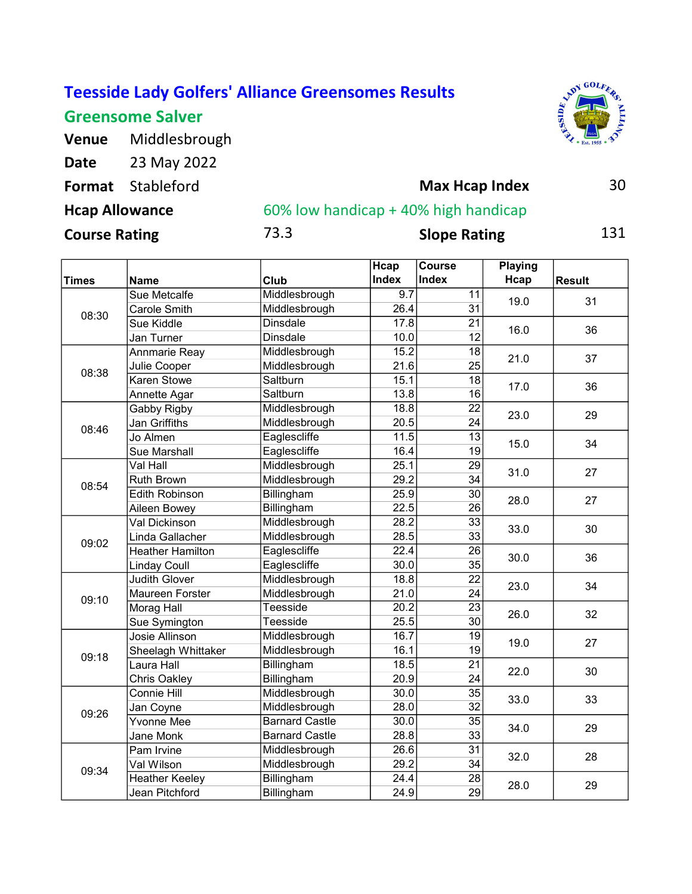Greensome Salver

Venue Middlesbrough



Date 23 May 2022 Format Stableford **30 Max House Max House 30** Course Rating **73.3** Slope Rating 131 Max Hcap Index Hcap Allowance **60% low handicap + 40% high handicap** 

|              |                         |                       | Hcap              | <b>Course</b>   | Playing |               |
|--------------|-------------------------|-----------------------|-------------------|-----------------|---------|---------------|
| <b>Times</b> | <b>Name</b>             | Club                  | <b>Index</b>      | Index           | Hcap    | <b>Result</b> |
|              | Sue Metcalfe            | Middlesbrough         | $\overline{9.7}$  | 11              |         | 31            |
| 08:30        | Carole Smith            | Middlesbrough         | 26.4              | 31              | 19.0    |               |
|              | Sue Kiddle              | <b>Dinsdale</b>       | 17.8              | 21              | 16.0    | 36            |
|              | Jan Turner              | <b>Dinsdale</b>       | 10.0              | 12              |         |               |
|              | Annmarie Reay           | Middlesbrough         | 15.2              | 18              | 21.0    | 37            |
| 08:38        | Julie Cooper            | Middlesbrough         | 21.6              | $\overline{25}$ |         |               |
|              | Karen Stowe             | Saltburn              | 15.1              | 18              | 17.0    | 36            |
|              | Annette Agar            | Saltburn              | 13.8              | 16              |         |               |
|              | Gabby Rigby             | Middlesbrough         | 18.8              | $\overline{22}$ | 23.0    | 29            |
| 08:46        | Jan Griffiths           | Middlesbrough         | 20.5              | 24              |         |               |
|              | Jo Almen                | Eaglescliffe          | 11.5              | $\overline{13}$ | 15.0    | 34            |
|              | Sue Marshall            | Eaglescliffe          | 16.4              | 19              |         |               |
|              | Val Hall                | Middlesbrough         | 25.1              | 29              |         | 27<br>27      |
| 08:54        | <b>Ruth Brown</b>       | Middlesbrough         | 29.2              | 34              | 31.0    |               |
|              | <b>Edith Robinson</b>   | Billingham            | 25.9              | $\overline{30}$ | 28.0    |               |
|              | Aileen Bowey            | Billingham            | 22.5              | 26              |         |               |
|              | Val Dickinson           | Middlesbrough         | 28.2              | $\overline{33}$ | 33.0    | 30            |
| 09:02        | Linda Gallacher         | Middlesbrough         | 28.5              | 33              |         |               |
|              | <b>Heather Hamilton</b> | Eaglescliffe          | 22.4              | $\overline{26}$ | 30.0    | 36            |
|              | <b>Linday Coull</b>     | Eaglescliffe          | 30.0              | 35              |         |               |
|              | <b>Judith Glover</b>    | Middlesbrough         | 18.8              | $\overline{22}$ | 23.0    | 34            |
| 09:10        | <b>Maureen Forster</b>  | Middlesbrough         | 21.0              | 24              |         |               |
|              | <b>Morag Hall</b>       | Teesside              | $\overline{20.2}$ | $\overline{23}$ | 26.0    | 32            |
|              | Sue Symington           | Teesside              | 25.5              | 30              |         |               |
|              | Josie Allinson          | Middlesbrough         | 16.7              | $\overline{19}$ | 19.0    | 27            |
| 09:18        | Sheelagh Whittaker      | Middlesbrough         | 16.1              | 19              |         |               |
|              | Laura Hall              | Billingham            | 18.5              | 21              | 22.0    | 30            |
|              | Chris Oakley            | Billingham            | 20.9              | $\overline{24}$ |         |               |
|              | Connie Hill             | Middlesbrough         | 30.0              | 35              | 33.0    | 33            |
| 09:26        | Jan Coyne               | Middlesbrough         | 28.0              | 32              |         |               |
|              | <b>Yvonne Mee</b>       | <b>Barnard Castle</b> | 30.0              | $\overline{35}$ | 34.0    |               |
|              | Jane Monk               | <b>Barnard Castle</b> | 28.8              | 33              |         | 29            |
|              | Pam Irvine              | Middlesbrough         | 26.6              | $\overline{31}$ | 32.0    |               |
| 09:34        | Val Wilson              | Middlesbrough         | 29.2              | 34              |         | 28            |
|              | <b>Heather Keeley</b>   | Billingham            | 24.4              | 28              | 28.0    | 29            |
|              | Jean Pitchford          | Billingham            | 24.9              | 29              |         |               |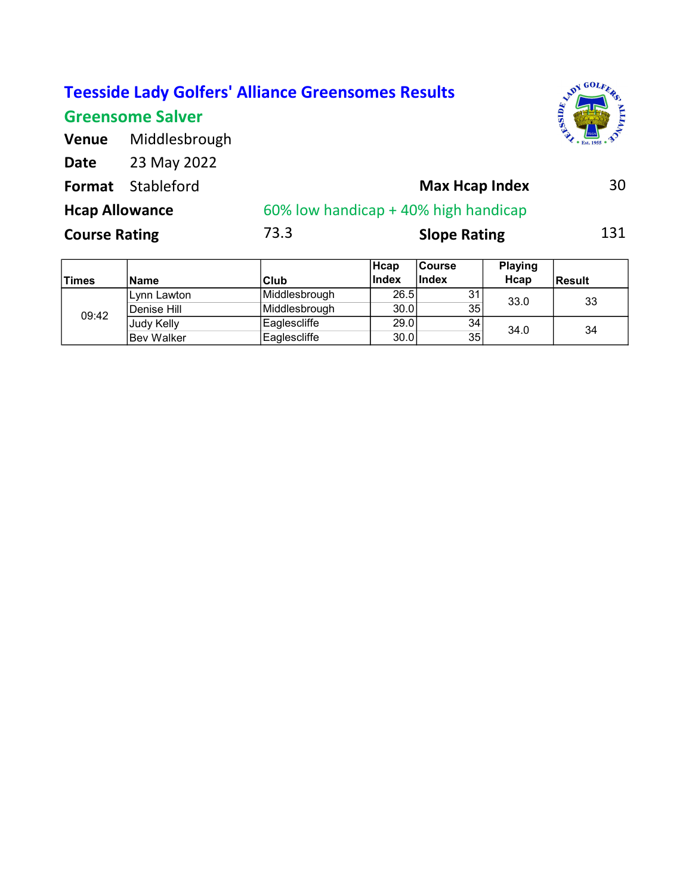### Greensome Salver



| <b>Venue</b> | Middlesbrough            |  |  |  |
|--------------|--------------------------|--|--|--|
| Date         | 23 May 2022              |  |  |  |
|              | <b>Format</b> Stableford |  |  |  |

## Format Stableford **30 Max Hcap Index** 30 Course Rating **73.3** Slope Rating 131 Hcap Allowance **60% low handicap + 40% high handicap**

| <b>Times</b> | <b>Name</b> | Club                 | Hcap<br><b>Index</b> | <b>Course</b><br><b>Index</b> | <b>Playing</b><br>Hcap | <b>Result</b> |
|--------------|-------------|----------------------|----------------------|-------------------------------|------------------------|---------------|
| 09:42        | Lynn Lawton | <b>Middlesbrough</b> | 26.5                 | 31                            | 33.0                   | 33            |
|              | Denise Hill | Middlesbrough        | 30.0                 | 35                            |                        |               |
|              | Judy Kelly  | Eaglescliffe         | 29.0                 | 34                            | 34.0                   | 34            |
|              | Bev Walker  | Eaglescliffe         | 30.0                 | 35                            |                        |               |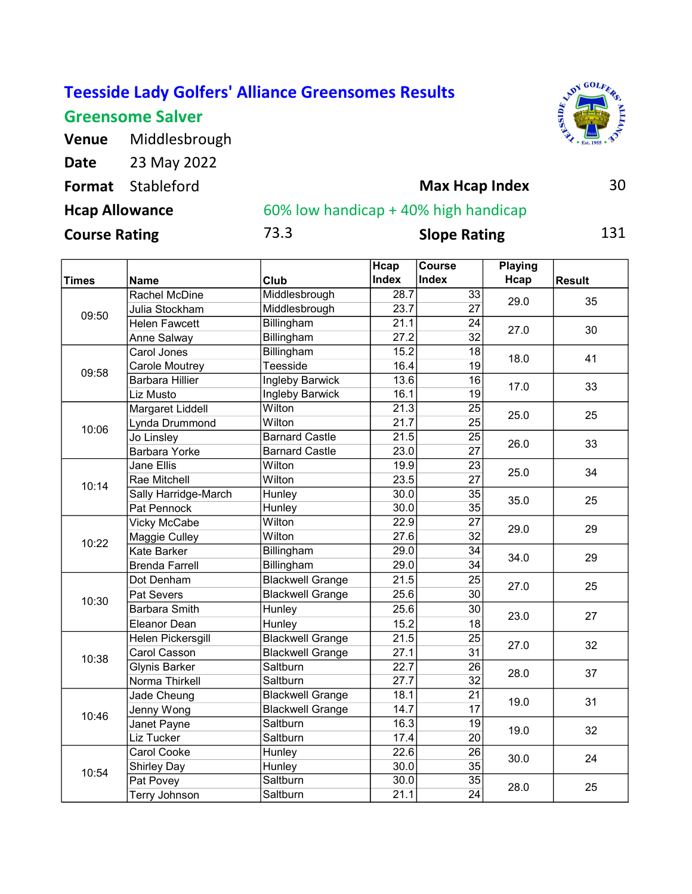## Greensome Salver

Venue Middlesbrough



| Date                  | 23 May 2022              |      |                                      |     |
|-----------------------|--------------------------|------|--------------------------------------|-----|
|                       | <b>Format</b> Stableford |      | <b>Max Hcap Index</b>                | 30  |
| <b>Hcap Allowance</b> |                          |      | 60% low handicap + 40% high handicap |     |
| <b>Course Rating</b>  |                          | 73.3 | <b>Slope Rating</b>                  | 131 |

|              |                        |                         | Hcap              | <b>Course</b>   | <b>Playing</b> |               |
|--------------|------------------------|-------------------------|-------------------|-----------------|----------------|---------------|
| <b>Times</b> | Name                   | Club                    | <b>Index</b>      | <b>Index</b>    | Hcap           | <b>Result</b> |
|              | Rachel McDine          | Middlesbrough           | 28.7              | 33              | 29.0           | 35            |
| 09:50        | Julia Stockham         | Middlesbrough           | 23.7              | 27              |                |               |
|              | <b>Helen Fawcett</b>   | Billingham              | 21.1              | $\overline{24}$ | 27.0           | 30            |
|              | Anne Salway            | Billingham              | 27.2              | 32              |                |               |
|              | Carol Jones            | Billingham              | 15.2              | 18              | 18.0           | 41            |
| 09:58        | Carole Moutrey         | Teesside                | 16.4              | 19              |                |               |
|              | <b>Barbara Hillier</b> | Ingleby Barwick         | 13.6              | 16              | 17.0           | 33            |
|              | Liz Musto              | Ingleby Barwick         | 16.1              | 19              |                |               |
|              | Margaret Liddell       | Wilton                  | 21.3              | $\overline{25}$ | 25.0           | 25            |
| 10:06        | Lynda Drummond         | Wilton                  | 21.7              | 25              |                |               |
|              | Jo Linsley             | <b>Barnard Castle</b>   | 21.5              | $\overline{25}$ | 26.0           | 33            |
|              | <b>Barbara Yorke</b>   | <b>Barnard Castle</b>   | 23.0              | $\overline{27}$ |                |               |
|              | <b>Jane Ellis</b>      | Wilton                  | 19.9              | 23              | 25.0           | 34            |
| 10:14        | Rae Mitchell           | Wilton                  | 23.5              | $\overline{27}$ |                |               |
|              | Sally Harridge-March   | Hunley                  | 30.0              | $\overline{35}$ | 35.0           | 25            |
|              | Pat Pennock            | Hunley                  | 30.0              | 35              |                |               |
|              | Vicky McCabe           | Wilton                  | 22.9              | 27              | 29.0           | 29            |
| 10:22        | Maggie Culley          | Wilton                  | 27.6              | 32              |                |               |
|              | Kate Barker            | Billingham              | 29.0              | 34              | 34.0           | 29            |
|              | <b>Brenda Farrell</b>  | Billingham              | 29.0              | 34              |                |               |
|              | Dot Denham             | <b>Blackwell Grange</b> | 21.5              | 25              | 27.0           | 25            |
| 10:30        | Pat Severs             | <b>Blackwell Grange</b> | 25.6              | 30              |                |               |
|              | <b>Barbara Smith</b>   | Hunley                  | 25.6              | 30              | 23.0           | 27            |
|              | Eleanor Dean           | Hunley                  | 15.2              | 18              |                |               |
|              | Helen Pickersgill      | <b>Blackwell Grange</b> | $\overline{21.5}$ | $\overline{25}$ |                | 32            |
| 10:38        | Carol Casson           | <b>Blackwell Grange</b> | 27.1              | 31              | 27.0           |               |
|              | <b>Glynis Barker</b>   | Saltburn                | 22.7              | $\overline{26}$ | 28.0           | 37            |
|              | Norma Thirkell         | Saltburn                | 27.7              | $\overline{32}$ |                |               |
|              | Jade Cheung            | <b>Blackwell Grange</b> | 18.1              | 21              | 19.0           | 31            |
| 10:46        | Jenny Wong             | <b>Blackwell Grange</b> | 14.7              | 17              |                |               |
|              | Janet Payne            | Saltburn                | 16.3              | $\overline{19}$ | 19.0           |               |
|              | Liz Tucker             | Saltburn                | 17.4              | 20              |                | 32            |
|              | Carol Cooke            | Hunley                  | 22.6              | 26              | 30.0           |               |
| 10:54        | <b>Shirley Day</b>     | Hunley                  | 30.0              | 35              |                | 24            |
|              | Pat Povey              | Saltburn                | 30.0              | 35              | 28.0           | 25            |
|              | Terry Johnson          | Saltburn                | 21.1              | $\overline{24}$ |                |               |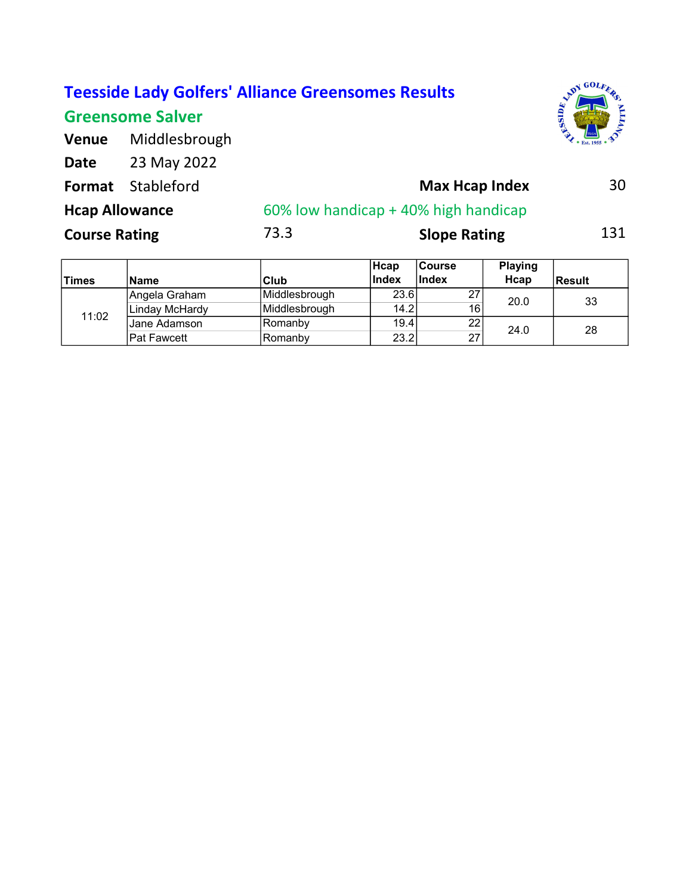## Greensome Salver



| <b>Venue</b>   | Middlesbrough         |  |  |  |
|----------------|-----------------------|--|--|--|
| Date           | 23 May 2022           |  |  |  |
| <b>Foundat</b> | $C + \lambda$ bloford |  |  |  |

| <b>Format</b> Stableford |      | <b>Max Hcap Index</b><br>60% low handicap + 40% high handicap |     |  |
|--------------------------|------|---------------------------------------------------------------|-----|--|
| <b>Hcap Allowance</b>    |      |                                                               |     |  |
| <b>Course Rating</b>     | 73.3 | <b>Slope Rating</b>                                           | 131 |  |

| <b>Times</b> | <b>Name</b>    | Club                 | <b>Hcap</b><br><b>Index</b> | <b>Course</b><br><b>Index</b> | <b>Playing</b><br>Hcap | <b>Result</b> |
|--------------|----------------|----------------------|-----------------------------|-------------------------------|------------------------|---------------|
| 11:02        | Angela Graham  | <b>Middlesbrough</b> | 23.6                        | 27                            | 20.0                   | 33            |
|              | Linday McHardy | <b>Middlesbrough</b> | 14.2                        | 16                            |                        |               |
|              | IJane Adamson  | Romanby              | 19.4                        | 22                            | 24.0                   | 28            |
|              | lPat Fawcett   | Romanby              | 23.2                        | 27                            |                        |               |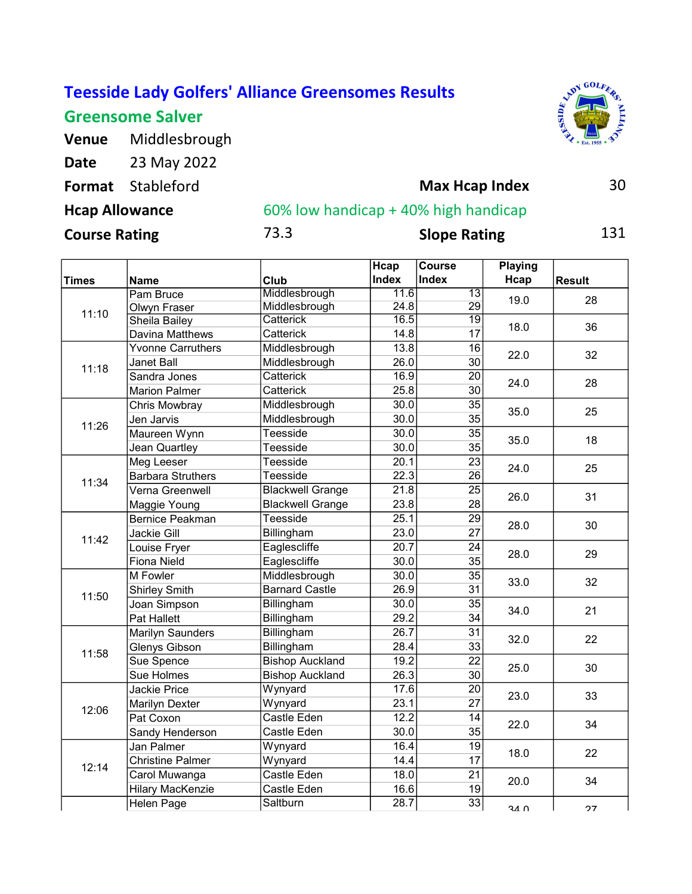## Greensome Salver

Venue Middlesbrough



| Date                  | 23 May 2022              |      |                                      |     |
|-----------------------|--------------------------|------|--------------------------------------|-----|
|                       | <b>Format</b> Stableford |      | <b>Max Hcap Index</b>                | 30  |
| <b>Hcap Allowance</b> |                          |      | 60% low handicap + 40% high handicap |     |
| <b>Course Rating</b>  |                          | 73.3 | <b>Slope Rating</b>                  | 131 |

|              |                          |                         | Hcap         | <b>Course</b>   | <b>Playing</b> |               |
|--------------|--------------------------|-------------------------|--------------|-----------------|----------------|---------------|
| <b>Times</b> | Name                     | Club                    | <b>Index</b> | <b>Index</b>    | Hcap           | <b>Result</b> |
|              | Pam Bruce                | Middlesbrough           | 11.6         | $\overline{13}$ | 19.0           | 28            |
| 11:10        | Olwyn Fraser             | Middlesbrough           | 24.8         | 29              |                |               |
|              | <b>Sheila Bailey</b>     | <b>Catterick</b>        | 16.5         | $\overline{19}$ | 18.0           | 36            |
|              | Davina Matthews          | Catterick               | 14.8         | 17              |                |               |
|              | <b>Yvonne Carruthers</b> | Middlesbrough           | 13.8         | 16              | 22.0           | 32            |
| 11:18        | <b>Janet Ball</b>        | Middlesbrough           | 26.0         | 30              |                |               |
|              | Sandra Jones             | Catterick               | 16.9         | 20              | 24.0           | 28            |
|              | <b>Marion Palmer</b>     | Catterick               | 25.8         | 30              |                |               |
|              | Chris Mowbray            | Middlesbrough           | 30.0         | 35              | 35.0           | 25            |
| 11:26        | Jen Jarvis               | Middlesbrough           | 30.0         | 35              |                |               |
|              | Maureen Wynn             | Teesside                | 30.0         | $\overline{35}$ | 35.0           | 18            |
|              | Jean Quartley            | Teesside                | 30.0         | 35              |                |               |
|              | Meg Leeser               | Teesside                | 20.1         | 23              | 24.0           | 25            |
| 11:34        | <b>Barbara Struthers</b> | Teesside                | 22.3         | $\overline{26}$ |                |               |
|              | Verna Greenwell          | <b>Blackwell Grange</b> | 21.8         | $\overline{25}$ | 26.0           | 31            |
|              | Maggie Young             | <b>Blackwell Grange</b> | 23.8         | 28              |                |               |
|              | <b>Bernice Peakman</b>   | Teesside                | 25.1         | $\overline{29}$ |                | 30            |
|              | Jackie Gill              | Billingham              | 23.0         | $\overline{27}$ | 28.0           |               |
| 11:42        | Louise Fryer             | Eaglescliffe            | 20.7         | $\overline{24}$ | 28.0           | 29            |
|              | Fiona Nield              | Eaglescliffe            | 30.0         | 35              |                |               |
|              | M Fowler                 | Middlesbrough           | 30.0         | 35              |                | 32            |
|              | <b>Shirley Smith</b>     | <b>Barnard Castle</b>   | 26.9         | 31              | 33.0           |               |
| 11:50        | Joan Simpson             | Billingham              | 30.0         | 35              | 34.0           | 21            |
|              | Pat Hallett              | Billingham              | 29.2         | 34              |                |               |
|              | Marilyn Saunders         | Billingham              | 26.7         | $\overline{31}$ |                |               |
|              | Glenys Gibson            | Billingham              | 28.4         | 33              | 32.0           | 22            |
| 11:58        | Sue Spence               | <b>Bishop Auckland</b>  | 19.2         | $\overline{22}$ |                |               |
|              | Sue Holmes               | <b>Bishop Auckland</b>  | 26.3         | 30              | 25.0           | 30            |
|              | <b>Jackie Price</b>      | Wynyard                 | 17.6         | $\overline{20}$ |                |               |
|              | Marilyn Dexter           | Wynyard                 | 23.1         | $\overline{27}$ | 23.0           | 33            |
| 12:06        | Pat Coxon                | Castle Eden             | 12.2         | 14              |                |               |
|              | Sandy Henderson          | Castle Eden             | 30.0         | 35              | 22.0           | 34            |
|              | Jan Palmer               | Wynyard                 | 16.4         | $\overline{19}$ |                |               |
|              | <b>Christine Palmer</b>  | Wynyard                 | 14.4         | 17              | 18.0           | 22            |
| 12:14        | Carol Muwanga            | Castle Eden             | 18.0         | 21              |                |               |
|              | <b>Hilary MacKenzie</b>  | Castle Eden             | 16.6         | 19              | 20.0           | 34            |
|              | <b>Helen Page</b>        | Saltburn                | 28.7         | 33              | 34 U           | 27            |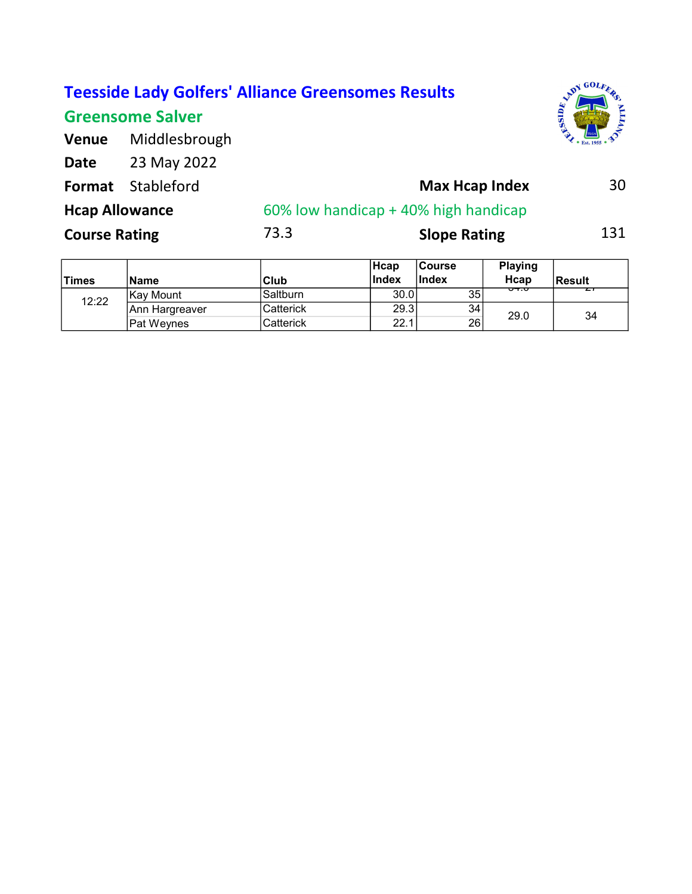|                       | <b>Teesside Lady Golfers' Alliance Greensomes Results</b> |      |                                      | <b>PDY GOLF.</b>   |
|-----------------------|-----------------------------------------------------------|------|--------------------------------------|--------------------|
|                       | <b>Greensome Salver</b>                                   |      |                                      | ausea <sup>d</sup> |
| <b>Venue</b>          | Middlesbrough                                             |      |                                      |                    |
| <b>Date</b>           | 23 May 2022                                               |      |                                      |                    |
| Format                | Stableford                                                |      | <b>Max Hcap Index</b>                | 30                 |
| <b>Hcap Allowance</b> |                                                           |      | 60% low handicap + 40% high handicap |                    |
| <b>Course Rating</b>  |                                                           | 73.3 | <b>Slope Rating</b>                  | 131                |
|                       |                                                           |      |                                      |                    |

|              |                |           | <b>Hcap</b> | ∣Course      | <b>Playing</b> |               |
|--------------|----------------|-----------|-------------|--------------|----------------|---------------|
| <b>Times</b> | <b>Name</b>    | Club      | Index       | <b>Index</b> | Hcap           | <b>Result</b> |
| 12:22        | IKav Mount     | Saltburn  | 30.0        | 35           | ᠊ᠣ᠇᠌᠇          |               |
|              | Ann Hargreaver | Catterick | 29.3        | 34           | 29.0           | 34            |
|              | lPat Wevnes    | Catterick | 22.1        | 26           |                |               |